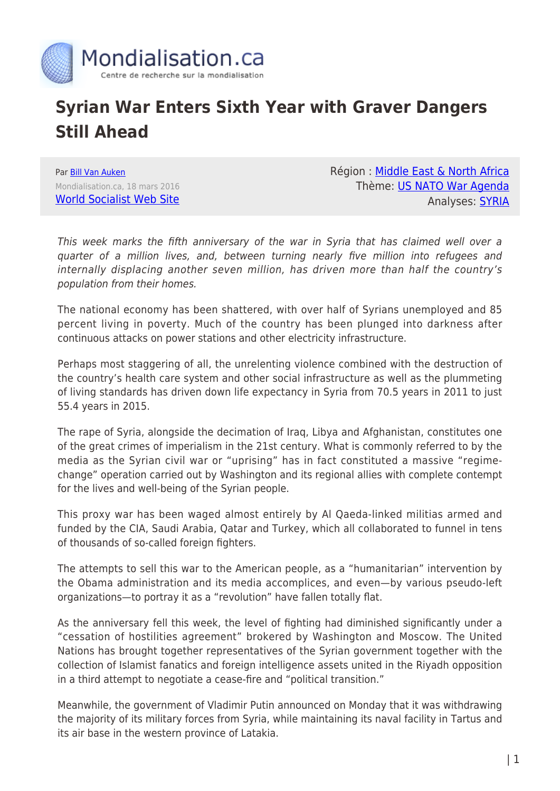

## **Syrian War Enters Sixth Year with Graver Dangers Still Ahead**

Par [Bill Van Auken](https://www.mondialisation.ca/author/bill-van-auken) Mondialisation.ca, 18 mars 2016 [World Socialist Web Site](http://www.wsws.org/en/articles/2016/03/18/pers-m18.html) Région : [Middle East & North Africa](https://www.mondialisation.ca/region/middle-east) Thème: [US NATO War Agenda](https://www.mondialisation.ca/theme/us-nato-war-agenda) Analyses: **SYRIA** 

This week marks the fifth anniversary of the war in Syria that has claimed well over a quarter of a million lives, and, between turning nearly five million into refugees and internally displacing another seven million, has driven more than half the country's population from their homes.

The national economy has been shattered, with over half of Syrians unemployed and 85 percent living in poverty. Much of the country has been plunged into darkness after continuous attacks on power stations and other electricity infrastructure.

Perhaps most staggering of all, the unrelenting violence combined with the destruction of the country's health care system and other social infrastructure as well as the plummeting of living standards has driven down life expectancy in Syria from 70.5 years in 2011 to just 55.4 years in 2015.

The rape of Syria, alongside the decimation of Iraq, Libya and Afghanistan, constitutes one of the great crimes of imperialism in the 21st century. What is commonly referred to by the media as the Syrian civil war or "uprising" has in fact constituted a massive "regimechange" operation carried out by Washington and its regional allies with complete contempt for the lives and well-being of the Syrian people.

This proxy war has been waged almost entirely by Al Qaeda-linked militias armed and funded by the CIA, Saudi Arabia, Qatar and Turkey, which all collaborated to funnel in tens of thousands of so-called foreign fighters.

The attempts to sell this war to the American people, as a "humanitarian" intervention by the Obama administration and its media accomplices, and even—by various pseudo-left organizations—to portray it as a "revolution" have fallen totally flat.

As the anniversary fell this week, the level of fighting had diminished significantly under a "cessation of hostilities agreement" brokered by Washington and Moscow. The United Nations has brought together representatives of the Syrian government together with the collection of Islamist fanatics and foreign intelligence assets united in the Riyadh opposition in a third attempt to negotiate a cease-fire and "political transition."

Meanwhile, the government of Vladimir Putin announced on Monday that it was withdrawing the majority of its military forces from Syria, while maintaining its naval facility in Tartus and its air base in the western province of Latakia.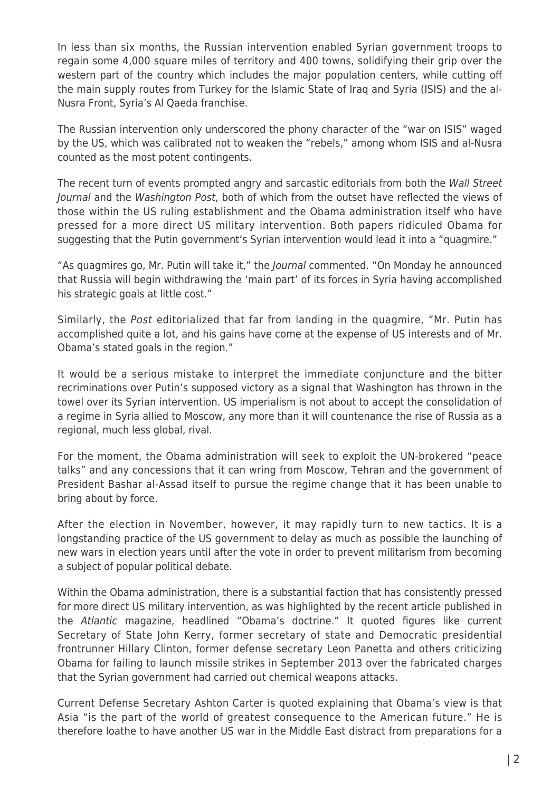In less than six months, the Russian intervention enabled Syrian government troops to regain some 4,000 square miles of territory and 400 towns, solidifying their grip over the western part of the country which includes the major population centers, while cutting off the main supply routes from Turkey for the Islamic State of Iraq and Syria (ISIS) and the al-Nusra Front, Syria's Al Qaeda franchise.

The Russian intervention only underscored the phony character of the "war on ISIS" waged by the US, which was calibrated not to weaken the "rebels," among whom ISIS and al-Nusra counted as the most potent contingents.

The recent turn of events prompted angry and sarcastic editorials from both the Wall Street Journal and the Washington Post, both of which from the outset have reflected the views of those within the US ruling establishment and the Obama administration itself who have pressed for a more direct US military intervention. Both papers ridiculed Obama for suggesting that the Putin government's Syrian intervention would lead it into a "quagmire."

"As quagmires go, Mr. Putin will take it," the Journal commented. "On Monday he announced that Russia will begin withdrawing the 'main part' of its forces in Syria having accomplished his strategic goals at little cost."

Similarly, the Post editorialized that far from landing in the quagmire, "Mr. Putin has accomplished quite a lot, and his gains have come at the expense of US interests and of Mr. Obama's stated goals in the region."

It would be a serious mistake to interpret the immediate conjuncture and the bitter recriminations over Putin's supposed victory as a signal that Washington has thrown in the towel over its Syrian intervention. US imperialism is not about to accept the consolidation of a regime in Syria allied to Moscow, any more than it will countenance the rise of Russia as a regional, much less global, rival.

For the moment, the Obama administration will seek to exploit the UN-brokered "peace talks" and any concessions that it can wring from Moscow, Tehran and the government of President Bashar al-Assad itself to pursue the regime change that it has been unable to bring about by force.

After the election in November, however, it may rapidly turn to new tactics. It is a longstanding practice of the US government to delay as much as possible the launching of new wars in election years until after the vote in order to prevent militarism from becoming a subject of popular political debate.

Within the Obama administration, there is a substantial faction that has consistently pressed for more direct US military intervention, as was highlighted by the recent article published in the Atlantic magazine, headlined "Obama's doctrine." It quoted figures like current Secretary of State John Kerry, former secretary of state and Democratic presidential frontrunner Hillary Clinton, former defense secretary Leon Panetta and others criticizing Obama for failing to launch missile strikes in September 2013 over the fabricated charges that the Syrian government had carried out chemical weapons attacks.

Current Defense Secretary Ashton Carter is quoted explaining that Obama's view is that Asia "is the part of the world of greatest consequence to the American future." He is therefore loathe to have another US war in the Middle East distract from preparations for a